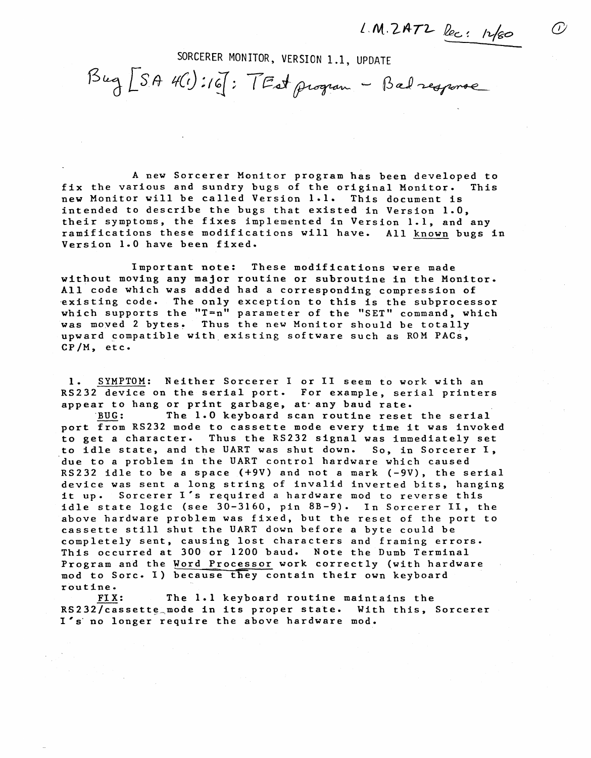$LM.2$ AT2 lec: 12/80 <sup>1</sup>

SORCERER MONITOR, VERSION 1.1, UPDATE

 $\beta$ ug $[SA$  4(1):16]: TEst program - Bad response

A new Sorcerer Monitor program has been developed to fix the various and sundry bugs of the original Monitor. This new Monitor will be called Version 1.1. This document is intended to describe the bugs that existed in Version 1.0, their symptoms, the fixes implemented in Version 1.1, and any ramifications these modifications will have. All known bugs in Version 1.0 have been fixed.

Important note: These modifications were made without moving any major routine or subroutine in the Monitor. All code which was added had a corresponding compression of 'existing code. The only exception to this is the subprocessor which supports the "T=n" parameter of the "SET" command, which which supports the 1 h parameter of the self command, which supports the 1 h parameter of the self upward compatible with existing software such as ROM PACs, CP/M, etc.

1. SYMPTOM: Neither Sorcerer I or II seem to work with an RS232 device on the serial port. For example, serial printers appear to hang or print garbage, at any baud rate.

'BUG: The 1.0 keyboard scan routine reset the serial port from RS232 mode to cassette mode every time it was invoked<br>to get a character. Thus the RS232 signal was immediately set Thus the RS232 signal was immediately set to idle state, and the UART was shut down. So, in Sorcerer I, due to a problem in the UART control hardware which caused RS232 idle to be a space (+9V) and not a mark (-9V), the serial device was sent a long string of invalid inverted bits, hanging it up. Sorcerer l's required a hardware mod to reverse this idle state logic (see 30-3160, pin BB-9). In Sorcerer II, the above hardware problem was fixed, but the reset of the port to cassette still shut the UART down before a byte could be completely sent, causing lost characters and framing errors. This occurred at 300 or 1200 baud. Note the Dumb Terminal Program and the Word Processor work correctly (with hardware mod to Sorc. I) because they contain their own keyboard routine.

FIX: The 1.1 keyboard routine maintains the RS232/cassette mode in its proper state. With this, Sorcerer I 's' no longer require the above hardware mod.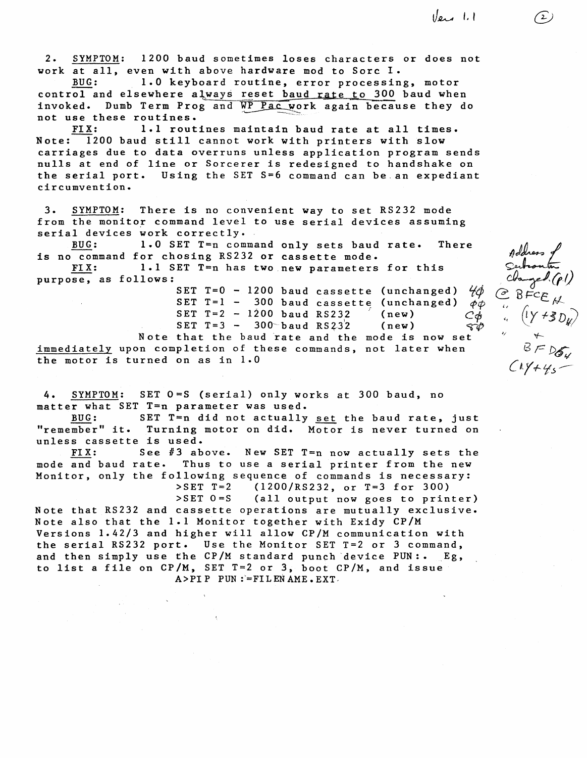*Ver* 1.1

 $\rightarrow$ 

 $B = D_{5}$ 

*{A·r+/fs--*

2. SYMPTOM: 1200 baud sometimes loses characters or does not work at all, even with above hardware mod to Sorc I.<br>BUG: 1.0 keyboard routine, error processin

1.0 keyboard routine, error processing, motor control and elsewhere always reset baud rate to 300 baud when invoked. Dumb Term Prog and WP Pac work again because they do not use these routines.<br>FIX:  $1.1$  rout

1.1 routines maintain baud rate at all times. Note: 1200 baud still cannot work with printers with slow carriages due to data overruns unless application program sends nulls at end of line or Sorcerer is redesigned to handshake on the serial port. Using the SET S=6 command can be.an expediant circumvention.

3. SYMPTOM: There is no convenient way to set RS232 mode from the monitor command level to use serial devices assuming serial devices work correctly.<br>BUG: 1.0 SET T=n command

1.0 SET T=n command only sets baud rate. There is no command for chosing RS232 or cassette mode.<br>FIX: 1.1 SET T=n has two new parameters

1.1 SET T=n has two new parameters for this purpose, as follows:

SET T=0 - 1200 baud cassette (unchanged)  $\frac{1}{2}$ SET T=1 - 300 baud cassette (unchanged)  $\phi \phi$ SET  $T = 2 - 1200$  baud RS232  $(new)$  $SET T=3 - 300$  baud  $RS232$  (new) Note that the baud rate and the mode is now set immediately upon completion of these commands, not later when the motor is turned on as in 1.0

4. SYMPTOM: SET 0=S (serial) only works at 300 baud, no matter what SET T=n parameter was used.

BUG: SET T=n did not actually set the baud rate, just "remember" it. Turning motor on did. Motor is never turned on unless cassette is used.

FIX: See #3 above. New SET T=n now actually sets the mode and baud rate. Thus to use a serial printer from the new Monitor, only the following sequence of commands is necessary: >SET T=2 (1200/RS232, or T=3 for 300)

>SET O=S (all output now goes to printer) Note that RS232 and cassette operations are mutually exclusive. Note also that the 1.1 Monitor together with Exidy CP/M Versions 1.42/3 and higher will allow CP/M communication with the serial RS232 port. Use the Monitor SET T=2 or 3 command, and then simply use the  $CP/M$  standard punch device  $PUN: . . . Eg,$ to list a file on CP/M, SET T=2 or 3, boot CP/M, and issue  $A>PI$  PUN :=FILEN AME.EXT.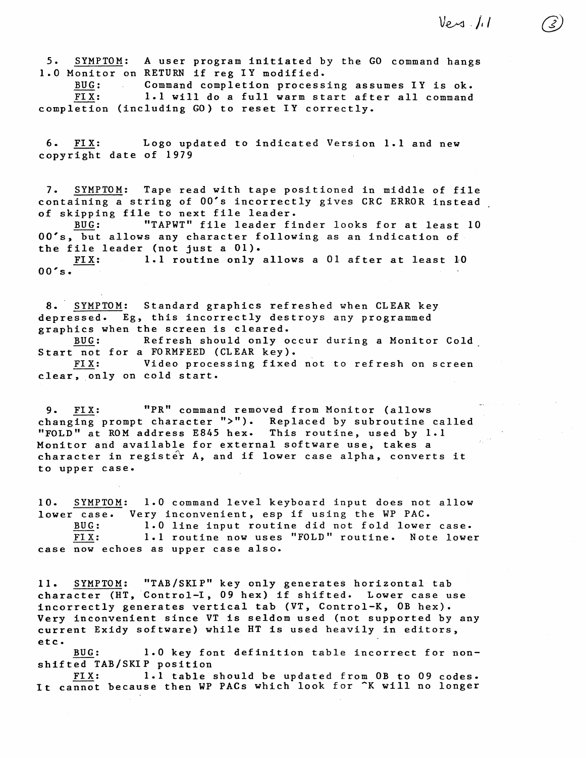$V_{e}$  .//

5. SYMPTOM: A user program initiated by the GO command hangs 1.0 Monitor on RETURN if reg IY modified.

BUG: Command completion processing assumes IY is ok.  $\sim 100$ FIX: 1.1 will do a full warm start after all command completion (including GO) to reset IY correctly.

6. FIX: Logo updated to indicated Version 1.1 and new copyright date of 1979

7. SYMPTOM: Tape read with tape positioned in middle of file containing a string of OO's incorrectly gives CRC ERROR instead of skipping file to next file leader.

BUG: "TAPWT" file leader finder looks for at least 10 OO's, but allows any character following as an indication of the file leader (not just a 01).

FIX: 1.1 routine only allows a 01 after at least 10  $00's.$ 

8. SYMPTOM: Standard graphics refreshed when CLEAR key depressed. Eg, this incorrectly destroys any programmed graphics when the screen is cleared. BUG: Refresh should only occur during a Monitor Cold

Start not for a FORMFEED (CLEAR key).<br>FIX: Video processing fixed

Video processing fixed not to refresh on screen clear, only on cold start.

9. FIX: "PR" command removed from Monitor (allows changing prompt character ">"). Replaced by subroutine called "FOLD" at ROM address E845 hex. This routine, used by 1.1 Monitor and available for external software use, takes a character in register A, and if lower case alpha, converts it to upper case.

10. SYMPTOM: 1.0 command level keyboard input does not allow lower case. Very inconvenient, esp if using the WP PAC. BUG: 1.0 line input routine did not fold lower case.<br>FIX: 1.1 routine now uses "FOLD" routine. Note lowe 1.1 routine now uses "FOLD" routine. Note lower case now echoes as upper case also.

11. SYMPTOM: "TAB/SKIP" key only generates horizontal tab character (HT, Control-I, 09 hex) if shifted. Lower case *use*  incorrectly generates vertical tab (YT, Control-K, OB hex). Very inconvenient since VT is seldom used (not supported by any current Exidy software) while HT is used heavily in editors, etc.

BUG: 1.0 key font definition table incorrect for nonshifted TAB/SKIP position

FIX: 1.1 table should be updated from OB to 09 codes. It cannot because then WP PACs which look for ^K will no longer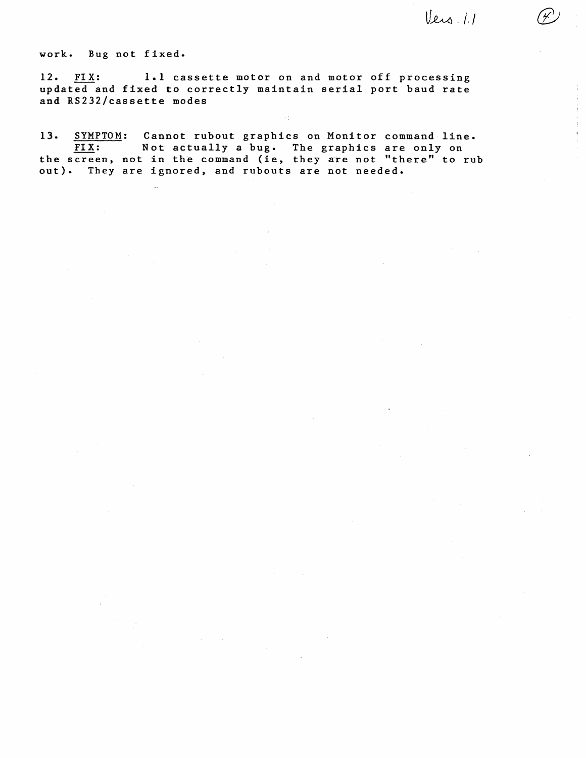Vers. 1.1

work. Bug not fixed.

 $\mathbb{R}^2$ 

12. FIX: 1.1 cassette motor on and motor off processing updated and fixed to correctly maintain serial port baud rate and RS232/cassette modes

13. SYMPTOM: Cannot rubout graphics on Monitor command line. Not actually a bug. The graphics are only on not in the command (ie, they are not "there" to rub end befoon, not in the command (10, end, and not the FIX: the screen,

 $\epsilon$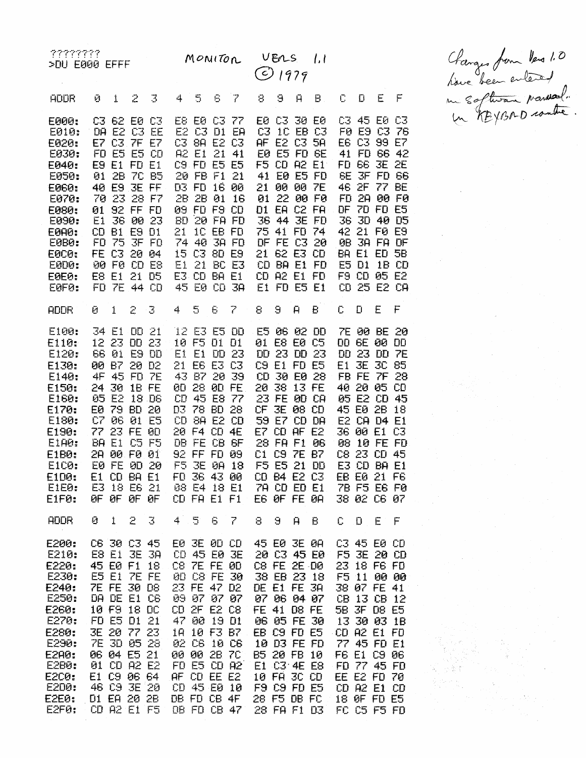| 7777777<br>$>$ DU E000 EFFF                                                                                                                                                                         |                                                                              |                                                                           |                                                                                                                                      |                                                                                                                               |                                          |                                        | MONITOR                                                                                                                                                                                                              |                            |                             | VERS<br>$O$ 1979                                                                                                                                                                                      |              | 1.1                                                                                                                                            |                                            |                                        |                                                                                                                                                                                                                 |                                                            |
|-----------------------------------------------------------------------------------------------------------------------------------------------------------------------------------------------------|------------------------------------------------------------------------------|---------------------------------------------------------------------------|--------------------------------------------------------------------------------------------------------------------------------------|-------------------------------------------------------------------------------------------------------------------------------|------------------------------------------|----------------------------------------|----------------------------------------------------------------------------------------------------------------------------------------------------------------------------------------------------------------------|----------------------------|-----------------------------|-------------------------------------------------------------------------------------------------------------------------------------------------------------------------------------------------------|--------------|------------------------------------------------------------------------------------------------------------------------------------------------|--------------------------------------------|----------------------------------------|-----------------------------------------------------------------------------------------------------------------------------------------------------------------------------------------------------------------|------------------------------------------------------------|
| <b>ADDR</b>                                                                                                                                                                                         | Ø                                                                            | 1                                                                         | 2                                                                                                                                    | 3                                                                                                                             | 4                                        | 5                                      | 6                                                                                                                                                                                                                    | 7                          | 8                           | 9                                                                                                                                                                                                     | $\mathsf{H}$ | B.                                                                                                                                             | Ũ                                          | D                                      | E                                                                                                                                                                                                               | $\mathop{\mathbb{F}}$                                      |
| E000:<br><b>E010:</b><br>E020:<br>E030:<br>E040:<br><b>E050:</b><br><b>E060:</b><br><b>E070:</b><br><b>E080:</b><br>E090:<br><b>E0A0:</b><br><b>E0B0:</b><br>EOC0:<br>E0D0:<br>EØEØ:<br>EOF0:       | FD<br>E9<br>01<br>70<br>01<br>E1<br>CD.<br>FD<br><b>FE</b><br>90<br>E8<br>FD | E5<br>2B<br>40 E9<br>-23<br>36<br><b>B1</b><br>75<br>C3<br>FØ<br>E1<br>7E | C3 62 E0 C3<br>E <sub>5</sub><br><b>E1 FD E1</b><br><b>JE FF</b><br>92 FF FD<br>E9<br>20.                                            | <b>DA E2 C3 EE</b><br>E7 C3 7F E7<br><b>CD</b><br>7C B5<br>28 F7<br>00 23<br>D1<br>$3F$ $F0$<br>04<br>CD E8<br>21 05<br>44 CD | A2<br>2B<br>09<br>BD.<br>21.<br>E1<br>45 | E <sub>1</sub><br>D3 FD<br>74 40<br>21 | E8 E0 C3 77<br>E2 C3 D1 EA<br>C3 8A E2 C3<br>21<br>C9 FD E5 E5<br>20 FB F1<br>16 00<br>28 01<br>FD F9 CD<br>$20$ FA FD<br>1C EB FD<br><b>38 FD</b><br>15 C3 8D E9<br>E3 CD BA E1<br>E0 CD 3A                         | 41<br>21<br>-16<br>BC E3   | C3<br>41<br>21<br>D1<br>21. | <b>E0 E5 FD GE</b><br>36 44 3E<br>75 41 FD 74<br>DF FE C3<br>CD BA E1<br>CD A2 E1 FD<br>E1 FD E5 E1                                                                                                   | 62 E3        | E0 C3 30 E0<br>IC EB C3<br>AF E2 C3 5A<br>F5 CD A2 E1<br><b>E0 E5 FD</b><br>00 00 7E<br>01 22 00 F0<br>EA C2 FA<br><b>FD</b><br>20<br>CD<br>FD | 6E<br>36.<br>98                            | 30<br>E5 D1<br>F9 CD                   | C3 45 E0 C3<br>F0 E9 C3 76<br>E6 C3 99<br>41 FD 66 42<br>FD 66 3E 2E<br><b>3F FD 66</b><br>46 2F 77 BE<br>FD 2A 00 F0<br>DF 7D FD E5<br>40 D5<br>42 21 FØ E9<br>3A FA DF<br>BA E1 ED 5B<br>05 E2<br>CD 25 E2 CA | E7<br>1B CD                                                |
| <b>ADDR</b>                                                                                                                                                                                         | Ø                                                                            | 1                                                                         | 2                                                                                                                                    | $\mathbb{R}^2$                                                                                                                | 4                                        | 5                                      | 6                                                                                                                                                                                                                    | 7                          | 8                           | 9                                                                                                                                                                                                     | Ĥ            | B                                                                                                                                              | C.                                         | Đ                                      | E                                                                                                                                                                                                               | $\mathsf{F}$                                               |
| E100:<br>E110:<br>E120:<br>E130:<br>E140:<br>E150:<br><b>E160:</b><br>E170:<br>E180:<br>E190:<br>E1A0:<br><b>E1B0:</b><br><b>E1C0:</b><br><b>E1D0:</b><br>E1E0:<br>E1F0:                            | 12 <sub>2</sub><br>ŪŨ<br>4F<br>24<br>05<br>EØ<br>C7<br>77.<br><b>BA</b>      | 34 E1<br>-23<br>66 01<br><b>B7</b><br>45<br>30<br>E2<br>79<br>ØБ<br>E1    | <b>DD 23</b><br>20 D <sub>2</sub><br><b>FD 7E</b><br>23 FE<br>28 00 F0<br>E0 FE 0D 20<br>E1 CD BA E1<br>E3 18 E6 21<br>OF OF OF OF   | <b>DD 21</b><br>E9 DD<br><b>18 FE</b><br>18 D <sub>6</sub><br>BD 20<br><b>01 E5</b><br>90<br><b>C5 F5</b><br>91               | Ė1.<br>$21 -$                            | E1<br>F5 3E                            | 12 E3 E5 DD<br>10 F5 D1 D1<br><b>E6 E3 C3</b><br>43 B7 20 39<br>00 28 00 FE.<br>CD 45 E8 77<br>D3 78 BD 28<br>CD 8A E2 CD<br>20 F4 CD 4E<br>DB FE CB 6F<br>92 FF FD 09<br><b>0A 18</b><br>08 E4 18 E1<br>CD FA E1 F1 | DD 23                      |                             | E5 06 02 DD<br>01 E8 E0 C5<br>DD 23 DD 23<br>C9 E1 FD E5<br>CD 30 E0 28<br>20 38 13 FE<br>23 FE<br>CF 3E 08 CD<br>59 E7 CD DA<br>E7 CD AF E2<br>28 FA F1<br>C1 C9 7E B7<br>F5 E5 21 DD<br>E6 OF FE OA |              | <b>0D CA</b><br>96<br>FD 36 43 00 CD B4 E2 C3<br>7A CD ED E1                                                                                   | E1<br>E2<br>36<br>98<br>CB.<br>7B F5 E6 F0 | 3E<br>FB FE<br>45 E0 2B<br>10<br>23 CD | <b>7E 00 BE</b><br><b>DD 6E 00 DD</b><br><b>DD 23 DD</b><br><b>3C 85</b><br><b>7F</b><br>40 20 05<br>05 E2 CD<br>CA D4 E1<br>00 E1<br>FE FD<br>E3 CD BA E1<br>EB E0 21 F6<br>38 02 C6 07                        | 20<br><b>7E</b><br>28<br><b>CD</b><br>45<br>18<br>C3<br>45 |
| <b>ADDR</b>                                                                                                                                                                                         | 0.                                                                           | $\mathbf{1}$                                                              | 2                                                                                                                                    | $\mathbb{R}^2$                                                                                                                | $\ddot{+}$                               | 5                                      | 6.                                                                                                                                                                                                                   | $\mathbb{Z}$               | 8.                          | 9                                                                                                                                                                                                     | Ĥ            | В                                                                                                                                              | C.                                         | $\Box$                                 | E                                                                                                                                                                                                               | $\mathsf{F}$                                               |
| E200:<br>E210:<br>E220:<br>E230:<br>E240:<br>E250:<br>E260:<br>E270:<br>E280:<br>E290:<br><b>E2A0:</b><br>E2B0:<br>E2C0:<br>E2D0:<br>E2E0:<br>E2F0; CD A2 E1 F5 DB FD CB 47 28 FA F1 D3 FC C5 F5 FD |                                                                              | 45 E0 F1<br>E5 E1<br>FD E5 D1<br>7E 3D 05                                 | C6 30 C3 45<br>E8 E1 3E<br><b>7E FE 30 D8</b><br>DA DE E1 C6<br>10 F9 18 DC<br>3E 20 77<br>06 04 E5 21<br>01 CD A2 E2<br>E1 C9 06 64 | 38<br>18<br><b>7E FE</b><br>21<br>23<br>-29<br>46 C9 3E 20<br>D1 EA 20 2B                                                     | CD 45 E0 3E<br>1A<br>AF CD EE E2         |                                        | E0 3E 0D CD<br>C8 7E FE 0D<br>23 FE 47 D2<br>09 07 07 07<br>CD 2F E2 C8<br>47 00 19 D1<br>10 F3 B7<br>02 C6 10 C6<br>00 00 2B 7C<br>F0E5CDAB<br>CD 45 E0 10                                                          | 00 C8 FE 30<br>DB FD CB 4F |                             | 45 E0 3E 0A<br>C8 FE 2E D0<br>38 EB 23 18<br>DE E1 FE 3A<br>07 06 04 07<br>FE 41 D8 FE<br>EB C9 FD E5<br>10 D3 FE FD<br>B5 20 FB 10<br>E1 03 4E E8<br>10 FA 3C CD<br>F9 C9 FD E5                      |              | 20 C3 45 E0<br>06 05 FE 30<br>28 F5 DB FC                                                                                                      | CD A2 E1 FD<br>FD 77 45 FD                 | F5 11                                  | C3 45 E0 CD<br>F5 3E 20 CD<br>23 18 F6 FD<br><b>00 00</b><br>38 07 FE 41<br>CB 13 CB 12<br>5B 3F 08 E5<br>13 30 03 1B<br>77 45 FD E1<br>F6 E1 C9 06<br>EE E2 FD 70<br>CD A2 E1 CD<br>18 OF FD E5                |                                                            |

Changes from Vers 1.0<br>Nous been entered<br>un software provided.

ang<br>Sanggunian<br>Sanggunian

 $\mathcal{A}^{\mathcal{A}}$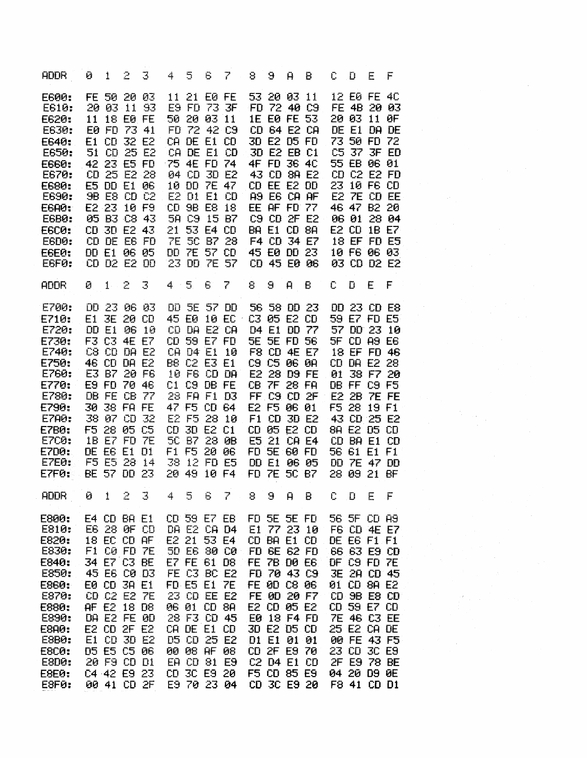| <b>ADDR</b>                                                                                                                                                                     | Ø | 1                                                                                                                                                                                                                                            | 2.    | 3              | 4.      | 5                                                                                                                                                                                                                                            | 6.                                             | $\mathcal{F}$                          | 8 | 9.                                                                                                                                                                                                                                     | Ĥ            | В                          | С  | D           | Ε                                                                                                                                                                                                                                            | F                                                                                                     |  |  |  |  |
|---------------------------------------------------------------------------------------------------------------------------------------------------------------------------------|---|----------------------------------------------------------------------------------------------------------------------------------------------------------------------------------------------------------------------------------------------|-------|----------------|---------|----------------------------------------------------------------------------------------------------------------------------------------------------------------------------------------------------------------------------------------------|------------------------------------------------|----------------------------------------|---|----------------------------------------------------------------------------------------------------------------------------------------------------------------------------------------------------------------------------------------|--------------|----------------------------|----|-------------|----------------------------------------------------------------------------------------------------------------------------------------------------------------------------------------------------------------------------------------------|-------------------------------------------------------------------------------------------------------|--|--|--|--|
| E600:<br>E610:<br>E620:<br>E630:<br>E640:<br>E650:<br>E660:<br>E670:<br>E680:<br>E690:<br><b>E6A0:</b><br>EGB0:<br><b>E6C0:</b><br>E6DØ:<br>E6E0:<br>E6FØ:                      |   | FE 50 20 03<br>20 03 11 93<br>11 18 EØ FE<br>E0 FD 73 41<br>E1 CD 32 E2<br>51 CD 25 E2<br>42 23 E5 FD<br>CD 25 E2 28<br>E5 DD E1 06<br><b>9B E8 CD C2</b><br>E2 23 10 F9<br>CD 3D E2 43<br>CD DE EG FD<br>DD E1 06 05<br>CD D2 E2 DD         |       | 05 B3 C8 43    |         | 11 21 EØ FE<br>E9 FD 73 3F<br>50 20 03 11<br>FD 72 42 C9<br>CA DE E1 CD<br>CA DE E1 CD<br>75 4E FD 74<br>04 CD 3D E2<br>10 DD 7E 47<br>E2 D1 E1 CD<br>CD 9B E8 18<br>5A C9 15 B7<br>21 53 E4 CD<br>7E 5C B7 28<br>DD 7E 57 CD<br>23 DD 7E 57 |                                                |                                        |   | 53 20 03 11<br>FD 72 40 C9<br>1E E0 FE 53<br>CD 64 E2 CA<br>3D E2 D5 FD<br>3D E2 EB C1<br>4F FD 36 4C<br>43 CD 8A E2<br>CD EE E2 DD<br>A9 E6 CA AF<br>EE AF FD 77<br><b>BA E1 CD 8A</b><br>F4 CD 34 E7<br>45 E0 DD 23                  |              | C9 CD 2F E2<br>CD 45 E0 06 |    |             | 12 E0 FE 40<br>20 03 11 0F<br>DE E1 DA DE<br>73 50 FD 72<br>55 EB 06 01<br>23 10 F6 CD<br>46 47 B2 20<br>E2 CD 1B E7<br>10 F6 06 03                                                                                                          | FE 4B 20 03<br>C5 37 3F ED<br>CD C2 E2 FD<br>E2 7E CD EE<br>06 01 28 04<br>18 EF FD E5<br>03 CD D2 E2 |  |  |  |  |
| <b>ADDR</b>                                                                                                                                                                     | Ø | $1 -$                                                                                                                                                                                                                                        | 2     | $\overline{3}$ | $4 - 5$ |                                                                                                                                                                                                                                              | 6                                              | 7                                      | 8 | 9                                                                                                                                                                                                                                      | $\mathsf{H}$ | B                          | C. | $\mathbf D$ | E                                                                                                                                                                                                                                            | $-F$                                                                                                  |  |  |  |  |
| E700:<br>E710:<br>E720:<br>E730:<br>E740:<br>E750:<br>E760:<br>E770:<br>E780:<br>E790:<br>E7A0:<br><b>E7B0:</b><br><b>E7C0:</b><br>E700:<br>E7E0:<br>E7F0:                      |   | DD 23 06 03<br>E1 3E 20 CD<br>DD E1 06 10<br>F3 C3 4E E7<br>C8 CD DA E2<br>46 CD DA E2<br>E3 B7 20 F6<br>E9 FD 70 46<br>DB FE CB 77<br>30 38 FA FE<br>38 07 CD 32<br>F5 28 05 C5<br>1B E7 FD 7E<br>DE E6 E1 D1<br>F5 E5 28 14<br>BE 57 DD 23 |       |                |         | CD DA E2 CA<br>CD 59 E7 FD<br>CA D4 E1 10<br>B8 C2 E3 E1<br>10 F6 CD DA<br>C1 C9 DB FE<br>28 FA F1 D3<br>47 F5 CD 64<br>E2 F5 28 10<br>CD 3D E2 C1<br>5C B7 28 0B<br>F1 F5 20 06<br>38 12 FD E5<br>20 49 10 F4                               |                                                | DD 5E 57 DD<br>45 E0 10 EC 03 05 E2 CD |   | D4 E1 DD 77<br><b>5E 5E FD 56</b><br>F8 CD 4E E7<br>C9 C5 06 0A<br>E2 28 D9 FE<br>CB 7F 28 FA<br>FF C9 CD 2F<br>E2 F5 06 01<br>F1 CD 3D E2<br>CD 05 E2 CD<br>E5 21 CA E4<br>FD 5E 60 FD<br>DD E1 06 05<br>FD 7E 5C B7                  |              | 56 58 DD 23                |    |             | 59 E7 FD E5<br><b>SF CD A9 E6</b><br>CD DA E2 28<br>DB FF C9 F5<br>E2 2B 7E FE<br>F5 28 19 F1<br>43 CD 25 E2<br>8A E2 05 CD<br>CD BA E1 CD<br>56 61 E1 F1<br>DD 7E 47 DD<br>28 09 21 BF                                                      | DD 23 CD E8<br>57 DD 23 10<br>18 EF FD 46<br>01 38 F7 20                                              |  |  |  |  |
| <b>ADDR</b>                                                                                                                                                                     |   | 0 1 2 3                                                                                                                                                                                                                                      |       |                |         |                                                                                                                                                                                                                                              |                                                | 4 5 6 7                                |   |                                                                                                                                                                                                                                        |              | 8 9 A B C D E F            |    |             |                                                                                                                                                                                                                                              |                                                                                                       |  |  |  |  |
| E800:<br>E810:<br>E820:<br>E830:<br>E840:<br>E850:<br>E860:<br>E870:<br>E880:<br>E890:<br><b>E8A0:</b><br><b>E8B0:</b><br><b>E8C0:</b><br><b>E8D0:</b><br><b>E8E0:</b><br>ESFØ: |   | E4 CD BA E1<br>E6 28 ØF CD<br>18 EC CD AF<br>F1 C0 FD 7E<br>34 E7 C3 BE<br>45 E6 C0 D3<br>E0 CD 3A E1<br>CD C2 E2 7E<br>AF E2 18 D8<br>DA E2 FE 0D<br>E2 CD 2F E2<br>E1 CD<br>D5 E5 C5 06<br>20 F9 CD D1<br>C4 42 E9 23<br>00 41 CD 2F       | 3D E2 |                | CD.     | CD 59 E7 EB<br>DA E2 CA D4<br>E2 21<br>50 E6 80 C0<br>E7 FE 61 D8<br>FE C3 BC E2<br>FD E5 E1 7E<br>23 CD EE E2<br>06 01<br>28 F3 CD 45<br>CA DE E1 CD<br>D5 CD<br>00 08 AF 08<br>EA CD<br>3C E9 20<br>E9 70 23 04                            | 53 E4<br><b>CD 8A</b><br>25 E2<br><b>81 E9</b> |                                        |   | FD 5E 5E FD<br>E1 77 23 10<br>CD BA E1 CD<br>FD 6E 62 FD<br>FE 7B D0 E6<br>FD 70 43 C9<br>FE 0D C8 06<br>FE 0D 20 F7<br>E2 CD 05 E2<br>E0 18 F4 FD<br>3D E2 D5 CD<br>D1 E1<br>CD 2F E9 70<br>C2 D4 E1 CD<br>F5 CD 85 E9<br>CD 3C E9 20 | 01 01        |                            |    |             | 56 5F CD A9<br>F6 CD 4E E7<br>DE E6 F1 F1<br>66 63 E9 CD<br>DF C9 FD 7E<br>3E 2A CD 45<br>01 CD 8A E2<br>CD 9B E8 CD<br>CD 59 E7 CD<br>7E 46 C3 EE<br>25 E2 CA DE<br>00 FE 43 F5<br>23 CD 3C E9<br>2F E9 78 BE<br>04 20 D9 0E<br>F8 41 CD D1 |                                                                                                       |  |  |  |  |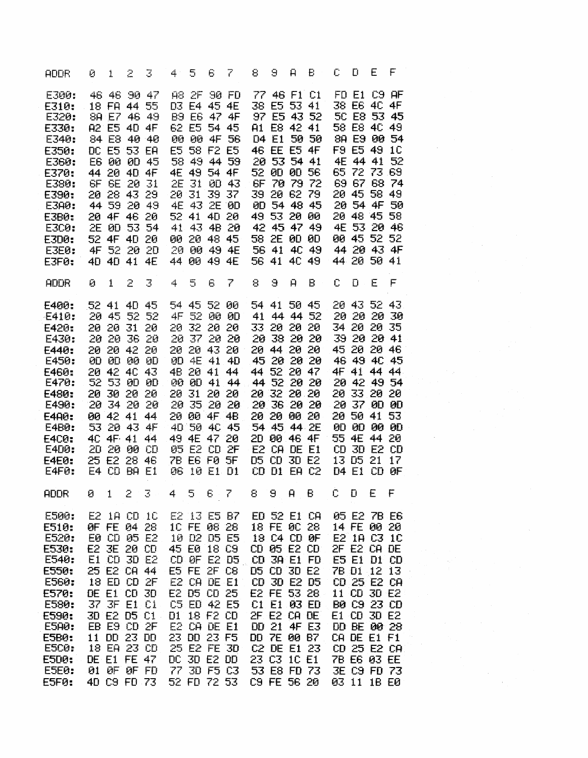| <b>ADDR</b>                                                                                                                                                       |    | $\Theta$ 1                                                                                                                                                                                                                                   | $\geq$ | 3                          | 4.                                                                                            | 5.                                                                                                                                                                                                                                           | 6 | $\mathcal{L}$                          | 8                                                                                                     | $\Theta$                                                                                                                                                                                                                                     | $\mathbf{H}$          | Ð.                                                                                  | $C$ $D$                                                              |                                                                                                                                                                                                                               | $-E$ | $-F$                                                                                                                                                           |  |  |  |  |
|-------------------------------------------------------------------------------------------------------------------------------------------------------------------|----|----------------------------------------------------------------------------------------------------------------------------------------------------------------------------------------------------------------------------------------------|--------|----------------------------|-----------------------------------------------------------------------------------------------|----------------------------------------------------------------------------------------------------------------------------------------------------------------------------------------------------------------------------------------------|---|----------------------------------------|-------------------------------------------------------------------------------------------------------|----------------------------------------------------------------------------------------------------------------------------------------------------------------------------------------------------------------------------------------------|-----------------------|-------------------------------------------------------------------------------------|----------------------------------------------------------------------|-------------------------------------------------------------------------------------------------------------------------------------------------------------------------------------------------------------------------------|------|----------------------------------------------------------------------------------------------------------------------------------------------------------------|--|--|--|--|
| E300:<br>E310:<br>E320:<br>E330:<br>E340:<br>E350:<br>E360:<br>E370:<br>E380:<br>E390:<br>E3A0:<br><b>E3B0:</b><br>E300:<br>E3D0:<br><b>E3E0:</b><br>E3F0:        |    | 46 46 90 47<br>18 FA 44 55<br>88 E7 46 49<br>A2 E5 40 4F<br>84 E8 40 40<br>DC E5 53 EA<br>44 20 4D 4F<br>6F 6E 20 31<br>20 28 43 29<br>20 4F 46 20<br>2E 0D 53 54<br>52 4F 4D 20<br>4F 52 20 20<br>40 40 41 4E                               |        | E6 00 0D 45<br>44 59 20 49 | B9 E6 47 4F<br>00 00 4F 56<br>E5 58 F2 E5<br>2E 31 0D 43<br>20 31 39 37<br><b>4E 43 2E 0D</b> | A8 2F 90 FD<br>D3 E4 45 4E<br>62 E5 54 45<br>4E 49 54 4F<br>52 41 40 20<br>41 43 4B 20<br>00 20 48 45<br>20 00 49 4E<br>44 00 49 4E                                                                                                          |   | 58 49 44 59                            | 77 46 F1 C1<br>A1 E8 42 41<br>D4 E1 50 50<br>46 EE E5 4F<br>20 53 54 41<br>6F 70 79 72<br>49 53 20 00 | 38 E5 53 41<br>58 2E 0D 0D<br>56 41 40 49                                                                                                                                                                                                    |                       | 97 E5 43 52<br>39 20 62 79 20 45 58 49<br>0D 54 48 45<br>42 45 47 49<br>56 41 40 49 | F9 E5 49 10                                                          | 38 E6 4C 4F<br>58 E8 4C 49<br>20 48 45 58<br>44 20 50 41                                                                                                                                                                      |      | FD E1 C9 AF<br>50 E8 53 45<br>8A E9 00 54<br>4E 44 41 52<br>52 00 00 56 65 72 73 69<br>69 67 68 74<br>20 54 4F 50<br>4E 53 20 46<br>00 45 52 52<br>44 20 43 4F |  |  |  |  |
| <b>ADDR</b>                                                                                                                                                       | 0. | $\mathbf{1}$                                                                                                                                                                                                                                 | 2      | $\mathbb{R}^2$             | 4                                                                                             | $\overline{\mathbb{S}}$                                                                                                                                                                                                                      | 6 | 7                                      | 8                                                                                                     | Θ                                                                                                                                                                                                                                            | $\mathbf{\mathsf{P}}$ | B                                                                                   | C.                                                                   | - D                                                                                                                                                                                                                           | Ε    | $\mathsf{F}$                                                                                                                                                   |  |  |  |  |
| E400:<br>E410:<br>E420:<br>E430:<br>E440:<br>E450:<br>E460:<br>E470:<br>E480:<br>E490:<br><b>E4A0:</b><br>E4B0:<br><b>E4C0:</b><br>E400:<br><b>E4E0:</b><br>E4F0: |    | 52 41 40 45<br>20 45 52 52<br>20 20 31 20<br>20 20 36 20<br>20 20 42 20<br>00 00 00 00<br>20 42 40 43<br>52 53 00 00<br>20 30 20 20<br>20 34 20 20<br>00 42 41 44<br>53 20 43 4F<br>4C 4F 41 44<br>20 20 00 CD<br>25 E2 28 46<br>E4 CD BA E1 |        |                            | 4F 52 00 0D<br>20 37 20 20<br>0D 4E 41 4D<br>00 00 41 44                                      | 54 45 52 00<br>20 32 20 20<br>4B 20 41 44<br>20 31 20 20<br>20 00 4F 4B<br>40 50 40 45<br>49 4E 47 20<br>05 E2 CD 2F<br>7B E6 F0 5F<br>06 10 E1 D1                                                                                           |   | 20 20 43 20 20 44 20 20<br>20 35 20 20 | 54 41 50 45<br>41 44 44 52<br>20 38 29 20<br>E2 CA DE E1                                              | 33 20 20 20<br>20 32 20 20<br>20 20 00 20<br>54 45 44 2E<br>20 00 46 4F<br>D5 CD 3D E2<br>CD D1 EA C2                                                                                                                                        |                       | 45 20 20 20<br>44 52 20 47<br>$-44$ 52 20 20<br>20 36 20 20                         | 20 20 20 30<br>34 20 20 35<br>39202041<br>45 20 20 46<br>55 4E 44 20 | CD 3D E2 CD<br>13 05 21 17<br><b>D4 E1 CD 0F</b>                                                                                                                                                                              |      | 20 43 52 43<br>46 49 40 45<br>4F 41 44 44<br>20 42 49 54<br>20 33 20 20<br>20 37 0D 0D<br>20 50 41 53<br>00 00 00 00                                           |  |  |  |  |
|                                                                                                                                                                   |    |                                                                                                                                                                                                                                              |        |                            |                                                                                               |                                                                                                                                                                                                                                              |   |                                        |                                                                                                       |                                                                                                                                                                                                                                              |                       |                                                                                     |                                                                      |                                                                                                                                                                                                                               |      |                                                                                                                                                                |  |  |  |  |
| E500:<br>E510:<br>E520:<br>E530:<br>E540:<br>E550:<br><b>E560:</b><br>E570:<br>E580:<br>E590:<br>E5A0:<br><b>E5B0:</b><br>E5C0:<br>E5D0:<br><b>E5E0:</b><br>E5F0: |    | E2 1A CD 1C<br>OF FE 04 28<br>E0 CD 05 E2<br>E2 3E 20 CD<br>E1 CD 3D E2<br>25 E2 CA 44<br>18 ED CD 2F<br>DE E1 CD 3D<br>37 3F E1 C1<br>30 E2 D5 C1<br>EB E9 CD 2F<br>11 DD 23 DD<br>18 EA 23 CD<br>DE E1 FE 47<br>01 OF OF FD<br>40 C9 FD 73 |        |                            |                                                                                               | E2 13 E5 B7<br>1C FE 08 28<br>10 D2 D5 E5<br>45 E0 18 C9<br>CD OF E2 D5<br>E5 FE 2F C8<br>E2 CA DE E1<br>E2 D5 CD 25<br>C5 ED 42 E5<br>D1 18 F2 CD<br>E2 CA DE E1<br>23 DD 23 F5<br>25 E2 FE 3D<br>DC 3D E2 DD<br>77 3D F5 C3<br>52 FD 72 53 |   |                                        |                                                                                                       | ED 52 E1 CA<br>18 FE 0C 28<br>18 C4 CD 0F<br>CD 05 E2 CD<br>CD 3A E1 FD<br>D5 CD 3D E2<br>CD 3D E2 D5<br>E2 FE 53 28<br>C1 E1 03 ED<br>2F E2 CA DE<br>DD 21 4F E3<br>DD 7E 00 B7<br>C2 DE E1 23<br>23 C3 1C E1<br>53 E8 FD 73<br>C9 FE 56 20 |                       |                                                                                     |                                                                      | 05 E2 7B E6<br>14 FE 00 20<br>E2 1A C3 1C<br>2F E2 CA DE<br>E5 E1 D1 CD<br>7B D1 12 13<br>CD 25 E2 CA<br>11 CD 3D E2<br>BØ C9 23 CD<br>E1 CD 3D E2<br>CA DE E1 F1<br>CD 25 E2 CA<br>7B E6 03 EE<br>3E C9 FD 73<br>03 11 1B E0 |      | DD BE 00 28                                                                                                                                                    |  |  |  |  |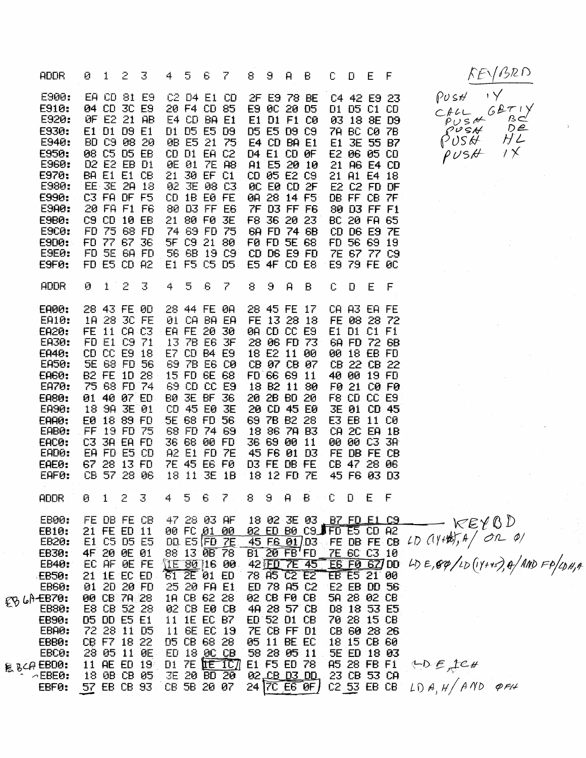|                       | <b>ADDR</b>                                                                                                                                                              | Ø.                   | $1 - 2$                             |                                                                                                                                                                                                                         | 3                                                                                                                           | 4.                   | 5        | 6.                                                                                                                                                                                       | 7                                                                       | 8.          |          |                                                                                                                                                                                      | $9$ $A$ $B$                                                                                                                                                       | $\mathbb{C}$ .       |                                                                                                                                                                                                                                              | $D$ $E$ $F$           |              |  |
|-----------------------|--------------------------------------------------------------------------------------------------------------------------------------------------------------------------|----------------------|-------------------------------------|-------------------------------------------------------------------------------------------------------------------------------------------------------------------------------------------------------------------------|-----------------------------------------------------------------------------------------------------------------------------|----------------------|----------|------------------------------------------------------------------------------------------------------------------------------------------------------------------------------------------|-------------------------------------------------------------------------|-------------|----------|--------------------------------------------------------------------------------------------------------------------------------------------------------------------------------------|-------------------------------------------------------------------------------------------------------------------------------------------------------------------|----------------------|----------------------------------------------------------------------------------------------------------------------------------------------------------------------------------------------------------------------------------------------|-----------------------|--------------|--|
|                       | E900:<br>E910:<br>E920:<br>E930:<br>E940:<br>E950:<br>E960:<br>E970:<br>E980:<br>E990:<br>E9A0:<br><b>E9B0:</b><br><b>E9C0:</b><br>E9D0:<br><b>E9E0:</b><br>E9FØ:        | C9 CD                |                                     | 04 CD 3C E9<br>OF E2 21 AB<br>E1 D1 D9 E1<br>BD C9 08 20<br>08 C5 D5 EB<br>D2 E2 EB D1<br>BA E1 E1 CB<br>EE 3E 2A 18<br>C3 FA DF F5<br>20 FA F1 F6<br>10 EB<br>FD 75 68 FD<br>FD 77 67 36<br>FD 5E 6A FD<br>FD E5 CD A2 | EA CD 81 E9                                                                                                                 | $21 -$               |          | 20 F4 CD 85<br>E4 CD BA E1<br>D1 D5 E5 D9<br>0B E5 21 75<br>CD D1 EA C2<br>OE 01 7E A8<br>30 EF C1<br>CD 1B E0 FE<br>80 D3 FF E6<br>21 80 F0 3E<br>E1 F5 C5 D5                           | C2 D4 E1 CD<br>02 3E 08 C3<br>74 69 FD 75<br>5F C9 21 80<br>56 6B 19 C9 |             |          | E9 0C 20 D5<br>E1 D1 F1 C0<br>D5 E5 D9 C9<br>E4 CD BA E1<br><b>D4 E1 CD 0F</b><br>A1 E5 20 10                                                                                        | 2F E9 78 BE<br>CD 05 E2 C9<br>OC EO CD 2F<br>0A 28 14 F5<br>7F D3 FF F6<br>F8 36 20 23<br>6A FD 74 6B<br>FØ FD 5E 68<br>$CD$ $DB$ $E9$ $FD$<br><b>E5 4F CD E8</b> |                      | C4 42 E9 23<br>D1 D5 C1 CD<br>03 18 8E D9<br>7A BC C0 7B<br>E1 3E 55 B7<br>E2 06 05 CD<br>21 A6 E4 CD<br>21 A1 E4 18<br>E2 C2 FD DF<br>DB FF CB 7F<br>80 D3 FF F1<br>BC 20 FA 65<br>CD D6 E9 7E<br>FD 56 69 19<br>7E 67 77 C9<br>E9 79 FE 0C |                       |              |  |
|                       | ADDR.                                                                                                                                                                    | Ø                    |                                     | $1 \t2$                                                                                                                                                                                                                 |                                                                                                                             | $\overrightarrow{4}$ | $5 - 6$  |                                                                                                                                                                                          | 7.                                                                      | 9.          | 9.       | $\overline{H}$                                                                                                                                                                       | B.                                                                                                                                                                | Û.                   | <b>D</b>                                                                                                                                                                                                                                     | E.                    | $\mathsf{F}$ |  |
|                       | <b>EA00:</b><br>EA10:<br><b>EA20:</b><br>EA30:<br>EA40:<br>EA50:<br><b>EAGO:</b><br>EA70:<br><b>EA80:</b><br>EA90:<br>EAA0:<br>EAB0:<br>EAC0:<br>EAD0:<br>EAE0:<br>EAF0: | <b>E0</b><br>FF      |                                     | 18 28 30 FE<br>FD E1 C9 71<br>75 68 FD 74<br>18 98 3E 01<br>18 89 FD<br>19 FD 75<br>C3 3A EA FD<br>EA FD E5 CD                                                                                                          | 28 43 FE 00<br>FE 11 CA C3<br>CD CC E9 18<br><b>SE 68 FD 56</b><br>B2 FE 1D 28<br>01 40 07 ED<br>67 28 13 FD<br>CB 57 28 06 |                      |          | 28 44 FE 0A<br>01 CA BA EA<br>EA FE 20 30<br>13 7B E6 3F<br>15 FD 6E 68<br>69 CD CC E9<br><b>BØ 3E BF 36</b><br>CD 45 E0 3E<br>5E 68 FD 56<br>36 68 00 FD<br>A2 E1 FD 7E<br>18 11 3E 1B  | E7 CD B4 E9<br>69 7B E6 C0<br>68 FD 74 69<br><b>7E 45 E6 F0</b>         | 18 12 FD 7E | 36 69 00 | 0A CD CC E9<br>FD 66 69 11<br>18 B2 11 80<br>20 CD 45 E0<br>69 78 B2 28<br>18 86 78 83<br>D3 FE DB FE                                                                                | 28 45 FE 17<br>FE 13 28 18<br>28 06 FD 73<br>18 E2 11 00<br>CB 07 CB 07<br>20 2B BD 20<br>11<br>45 F6 01 D3                                                       |                      | CA A3 EA FE<br>FE 08 28 72<br>E1 D1 C1 F1<br>6A FD 72 6B<br>00 18 EB FD<br>CB 22 CB 22<br>40 00 19 FD<br>F8 CD CC E9<br><b>3E 01 CD 45</b><br>E3 EB 11 C0<br>CA 2C EA 1B<br>00 00 C3 3A<br>FE DB FE CB<br>CB 47 28 06<br>45 F6 03 D3         |                       | F0 21 C0 F0  |  |
|                       | <b>ADDR</b>                                                                                                                                                              |                      |                                     |                                                                                                                                                                                                                         |                                                                                                                             |                      |          |                                                                                                                                                                                          | 0 1 2 3 4 5 6 7 8 9 A B C D E F                                         |             |          |                                                                                                                                                                                      |                                                                                                                                                                   |                      |                                                                                                                                                                                                                                              |                       |              |  |
| $\mathbb{Z}^{\times}$ | EB00:<br>EB10:<br>EB20:<br>EB30:<br>EB40:<br>EB50:<br>EB60:<br>EB LA EB70:<br><b>EB80:</b><br>EB90:<br>EBAØ:<br>EBB0:<br>EBC0:<br><b>昆BCAEBDO:</b><br>$\sim$ EBE0:       | Ei<br>21<br>01<br>90 | EC AF<br>E8 CB<br>72 28<br>11 AE ED | FE DB FE CB<br>21 FE ED 11<br>C5 D5 E5<br>4F 20 0E 01<br><b>DE FE</b><br><b>1E EC ED</b><br>20 20 FD<br>CB 7A 28<br>52 28<br><b>05 00 E5 E1</b><br>11 05<br>CB F7 18 22<br>28 05 11 0E<br>18 0B CB 05                   | 19 <sub>1</sub>                                                                                                             | 25<br>11<br>ED<br>D1 | 11 BE EC | 47 28 03 AF<br>00 FC 01 00<br>$DD$ E5 FD $7E$<br>88 13 0B 78<br>$61$ $2E$ 01 $ED$<br>20 FA E1<br>1A CB 62 28<br>02 CB E0 CB<br><b>1E EC B7</b><br>D5 CB 68 28<br>18 DC CB<br>3E 20 BD 20 | $\sqrt{1580}$ 16 00<br>19<br>$7E$ <b>IE</b> $1C$                        |             |          | 45 FG 01/D3<br>B1 20 FB'FD<br>42 ED 7E<br>78 A5 C2 E2<br>ED 78 A5 C2<br>02 CB F0 CB<br>ED 52 D1 CB<br><b>ZE CB FF D1</b><br>05 11 BE EC<br>58 28 05 11<br>E1 F5 ED 78<br>02.CB D3 DD | 18 02 3E 03 B7 FD E1 C9<br>02 ED B0 C9 FD E5 CD A2<br>45<br>49 28 57 CB                                                                                           | FE DB FE CB<br>70 28 | 7E 6C C3 10<br><b>E6 F0 62/DD</b><br>EB E5 21 00<br>E <sub>2</sub> EB<br>5A 28 02 CB<br>D8 18 53 E5<br>CB 60 28 26<br>18 15 CB 60<br>5E ED 18 03<br>A5 28 FB F1<br>23 CB 53 CA                                                               | <b>DD 56</b><br>15 CB |              |  |
|                       | EBFØ:                                                                                                                                                                    |                      |                                     | 57 EB CB 93                                                                                                                                                                                                             |                                                                                                                             |                      |          | CB 5B 20 07                                                                                                                                                                              |                                                                         |             |          |                                                                                                                                                                                      | 24 7C E6 0F                                                                                                                                                       |                      | C2 53 EB CB                                                                                                                                                                                                                                  |                       |              |  |

 $KENBRD$  $\rightarrow$  $PUSH$  $\begin{array}{cc}\nCFLL & GBT & V \\
CFLL & GBT & V \\
PUS & DEC \\
OUS & HLO \\
PUSH & HLO\n\end{array}$ 

 $KERQD$  $40E, 89/10 (11+45), 4/100 FP/106, 4$ 

 $YDE$ ,  $ICH$  $LDA, H/ANO$  pFH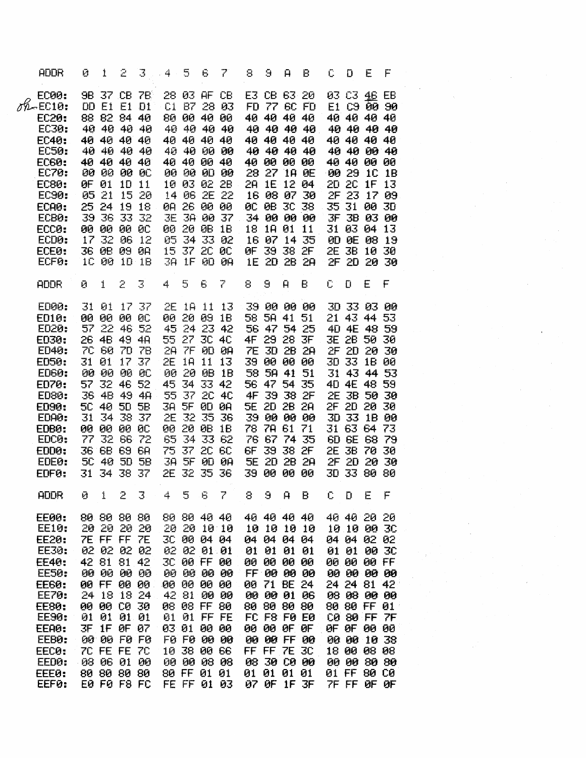| <b>ADDR</b>                                                                                                                                                                                  | Ø.  | 1                                                                                                                                                                                                                                     | 2               | 3.                                         | $-4 -$ | 5 | - 6                                                                                                                                                                                                                           | 7                                                                                                     | 8         | 9  | Ĥ                                                                                                                                                                                                                        | B                                                                                                                                                                 | C.            | Ð                                                                                                                                                                                                                                                       | E | F                                |  |  |  |
|----------------------------------------------------------------------------------------------------------------------------------------------------------------------------------------------|-----|---------------------------------------------------------------------------------------------------------------------------------------------------------------------------------------------------------------------------------------|-----------------|--------------------------------------------|--------|---|-------------------------------------------------------------------------------------------------------------------------------------------------------------------------------------------------------------------------------|-------------------------------------------------------------------------------------------------------|-----------|----|--------------------------------------------------------------------------------------------------------------------------------------------------------------------------------------------------------------------------|-------------------------------------------------------------------------------------------------------------------------------------------------------------------|---------------|---------------------------------------------------------------------------------------------------------------------------------------------------------------------------------------------------------------------------------------------------------|---|----------------------------------|--|--|--|
| <b>EC00:</b><br>$09 - 0010$<br>EC20:<br>EC30:<br><b>EC40:</b><br>EC50:<br><b>EC60:</b><br>EC70:<br>EC80:<br>EC90:<br>ECA0:<br>ECB0:<br>ECC0:<br>ECD0:<br>ECE0:<br>ECF0:                      | 39. | <b>DD E1 E1 D1</b><br>88 82 84<br>40 40 40 40<br>40 40 40 40<br>40 40 40 40<br>40 40 40 40<br><b>80 00 00 0C</b><br>QF 01<br>05 21<br>25 24 19 18<br>36<br><b>00 00 00 00</b><br>17 32<br>36 0B 09 0A<br>1C 00 1D 1B                  | 10 11<br>33     | 9B 37 CB 7B<br>40<br>15 20<br>-32<br>06 12 |        |   | 28 03 AF CB<br>80 00 40 00<br>40 40 40 40<br>40 40 00 40<br>08 08 09 09<br>00 20 0B 1B<br>05 34 33 02<br>15 37 20 00<br>38 1F 0D 08                                                                                           | C1 B7 28 03<br>40 40 40 40<br>40 40 00 00<br>00 00 00 00<br>10 03 02 2B<br>14 06 2E 22<br>JE 3A 00 37 |           |    | E3 CB 63 20<br>40 40 40 40<br>40 00 00 00<br>18 18 01 11<br>0F 39 38 2F                                                                                                                                                  | FD 77 6C FD<br>40 40 40 40<br>40 40 40 40<br>40 40 40 40<br>28 27 1A OE<br>2A 1E 12 04<br>16 08 07 30<br>OC OB 3C 38<br>34 00 00 00<br>16 07 14 35<br>1E 2D 2B 2A |               | 03 C3 46<br>E1 C9 00 90<br>40 40 40 40<br>40 40 40 40<br>40 40 00 40<br>40 40 00 00<br>00 29 1C 1B<br>20 2C 1F 13<br>35 31 00 30<br><b>JF 3B 03 00</b><br>31 03 04 13<br>0D OE 08 19<br>2E 3B 10 30<br>2F 2D 20 30                                      |   | EB<br>40 40 40 40<br>2F 23 17 09 |  |  |  |
| <b>ADDR</b>                                                                                                                                                                                  | Đ.  | 1                                                                                                                                                                                                                                     | 2               | $\overline{\mathcal{S}}$                   | 4.     | 5 | 6                                                                                                                                                                                                                             | 7                                                                                                     | 8         | 9  | $\mathbf{H}$                                                                                                                                                                                                             | B                                                                                                                                                                 | $C$ $D$       |                                                                                                                                                                                                                                                         | E | F                                |  |  |  |
| ED00:<br>ED10:<br>ED20:<br>ED30:<br><b>ED40:</b><br><b>ED50:</b><br><b>ED60:</b><br><b>ED70:</b><br><b>ED80:</b><br>ED90:<br>EDAØ:<br>EDB0:<br>EDC <sub>9</sub> :<br>EDD0:<br>EDE0:<br>EDF0: | 00  | 31 01 17 37<br><b>00 00 00 00</b><br>57 22 46 52<br>26 48 49 48<br>7C 60 7D 7B<br>31 01 17 37<br>00 00 00 0C<br>57 32 46 52<br>36 48 49 48<br><b>5C 40 5D</b><br>31 34 38 37<br>77 32 66 72<br>36 68 69 6A<br>5C 40 5D<br>31 34 38 37 | <b>00 00 00</b> | 5B<br><b>5B</b>                            |        |   | 00 20 09 1B<br>55 27 3C 4C<br>28 7F 0D 0R<br>2E 1A 11 13<br>00 20 0B 1B<br>45 34 33 42<br>55 37 2C 4C<br>3A 5F 0D 0A<br>2E 32 35 36<br>00 20 0B 1B<br>65 34 33 62<br>75 37 2C 6C<br>2E 32 35 36                               | 2E 1A 11 13<br>45 24 23 42<br>3A 5F 0D 0A                                                             |           |    | 58 5A 41 51<br>4F 29 28 3F<br>39 00 00 00<br>58 5A 41 51<br>56 47 54 35<br>4F 39 38 2F<br>5E 2D 2B 2A<br>39 00 00 00<br>78 7A 61 71<br>76 67 74 35<br>6F 39 38 2F<br>5E 2D 2B 2A<br>39 00 00 00                          | 39 00 00 00<br>56 47 54 25<br>7E 3D 2B 2A                                                                                                                         |               | 3D 33 03 00<br>21 43 44 53<br>40 4E 48 59<br>3E 2B 50 30<br>2F 2D 20 30<br>30 33 18 00<br>31 43 44 53<br>40 4E 48 59<br>2E 3B 50 30<br>2F 2D 20 30<br>3D 33 1B 00<br>31 63 64 73<br>6D 6E 68 79<br>2E 3B 70 30<br>2F 2D 20 30<br>30 33 80 80            |   |                                  |  |  |  |
| <b>ADDR</b>                                                                                                                                                                                  |     |                                                                                                                                                                                                                                       |                 | $0 \t1 \t2 \t3$                            | 45.6   |   |                                                                                                                                                                                                                               | $\mathbb{Z}$                                                                                          |           |    |                                                                                                                                                                                                                          |                                                                                                                                                                   | 8 9 A B C D E |                                                                                                                                                                                                                                                         |   | F.                               |  |  |  |
| <b>EE00:</b><br>EE10:<br><b>EE20:</b><br>EE30:<br>EE40:<br>EE50:<br><b>EE60:</b><br>EE70:<br><b>EE80:</b><br>EE90:<br>EEA0:<br>EEB0:<br>EEC0:<br>EEDØ:<br>EEE0:<br>EEF0:                     |     | 80 80 80 80<br>20 20 20<br>7E FF FF 7E<br>02 02 02 02<br>42 81 81 42<br>00 00 00<br>00 FF 00<br>24 18 18 24<br><b>00 00 CO 30</b><br>01 01<br>3F 1F 0F 07<br>00 00 F0 F0<br>7C FE FE 7C<br>08 06 01 00<br>80 80 80 80<br>EØ FØ F8 FC  | 01 01           | 20<br>-00<br>00                            |        |   | 80 80 40 40<br>20 20 10 10<br>3C 00 04 04<br>02 02 01 01<br>3C 00 FF 00<br>00 00 00 00<br>00 00 00 00<br>42 81 00 00<br>08 08 FF 80<br>01 01 FF FE<br>03 01 00 00<br>F0 F0 00 00<br>10 38 00 66<br>00 00 08 08<br>80 FF 01 01 | FE FF 01 03                                                                                           | 00<br>03. | 90 | 40 40 40 40<br>10 10 10 10<br>04 04 04 04<br>01 01 01 01<br>ଉତ<br>FF 00 00 00<br>00 71 BE 24<br>00 00 01 06<br>80 80 80 80<br><b>FC F8 F0 E0</b><br>00 00 OF OF<br>00 00 FF 00<br>FF FF 7E 3C<br>30 CO 00<br>01 01 01 01 | ାସିକ<br>07 OF 1F 3F                                                                                                                                               |               | 40 40 20<br>10 10 00 30<br>04 04 02 02<br>01 01 00 30<br>00 00 00 FF<br>00 00 00 00<br>24 24 81 42<br>08 08 00 00<br>80 80 FF 01<br>C0 80 FF 7F<br><b>OF OF 00 00</b><br>00 00 10 38<br>18 00 08 08<br>00 00 30 30<br>01 FF 80 C0<br><b>ZE FF OF OF</b> |   | -20                              |  |  |  |

 $\label{eq:2.1} \frac{1}{\sqrt{2\pi}}\int_{\mathbb{R}^3}\frac{1}{\sqrt{2\pi}}\int_{\mathbb{R}^3}\frac{1}{\sqrt{2\pi}}\int_{\mathbb{R}^3}\frac{1}{\sqrt{2\pi}}\int_{\mathbb{R}^3}\frac{1}{\sqrt{2\pi}}\int_{\mathbb{R}^3}\frac{1}{\sqrt{2\pi}}\int_{\mathbb{R}^3}\frac{1}{\sqrt{2\pi}}\int_{\mathbb{R}^3}\frac{1}{\sqrt{2\pi}}\int_{\mathbb{R}^3}\frac{1}{\sqrt{2\pi}}\int_{\mathbb{R}^3}\frac{1$ 

 $\epsilon_{\rm{eff}}$ 

 $\hat{\mathcal{L}}$